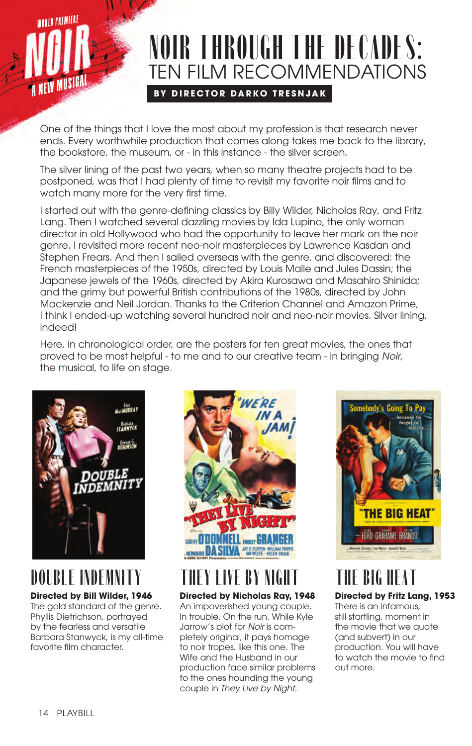

# NOIR THROUGH THE DECADES: TEN FILM RECOMMENDATIONS

**BY DIRECTOR DARKO TRESNJAK**

One of the things that I love the most about my profession is that research never ends. Every worthwhile production that comes along takes me back to the library, the bookstore, the museum, or - in this instance - the silver screen.

The silver lining of the past two years, when so many theatre projects had to be postponed, was that I had plenty of time to revisit my favorite noir films and to watch many more for the very first time.

I started out with the genre-defining classics by Billy Wilder, Nicholas Ray, and Fritz Lang. Then I watched several dazzling movies by Ida Lupino, the only woman director in old Hollywood who had the opportunity to leave her mark on the noir genre. I revisited more recent neo-noir masterpieces by Lawrence Kasdan and Stephen Frears. And then I sailed overseas with the genre, and discovered: the French masterpieces of the 1950s, directed by Louis Malle and Jules Dassin; the Japanese jewels of the 1960s, directed by Akira Kurosawa and Masahiro Shinida; and the grimy but powerful British contributions of the 1980s, directed by John Mackenzie and Neil Jordan. Thanks to the Criterion Channel and Amazon Prime, I think I ended-up watching several hundred noir and neo-noir movies. Silver lining, indeed!

Here, in chronological order, are the posters for ten great movies, the ones that proved to be most helpful - to me and to our creative team - in bringing *Noir*, the musical, to life on stage.



## DOUBLE INDEMNITY

**Directed by Bill Wilder, 1946** The gold standard of the genre. Phyllis Dietrichson, portrayed by the fearless and versatile Barbara Stanwyck, is my all-time favorite film character.



# **THEY LIVE BY NIGHT**

### **Directed by Nicholas Ray, 1948**

An impoverished young couple. In trouble. On the run. While Kyle Jarrow's plot for *Noir* is completely original, it pays homage to noir tropes, like this one. The Wife and the Husband in our production face similar problems to the ones hounding the young couple in *They Live by Night*.



## THE BIG HEAT **Directed by Fritz Lang, 1953**

There is an infamous, still startling, moment in the movie that we quote (and subvert) in our production. You will have to watch the movie to find out more.